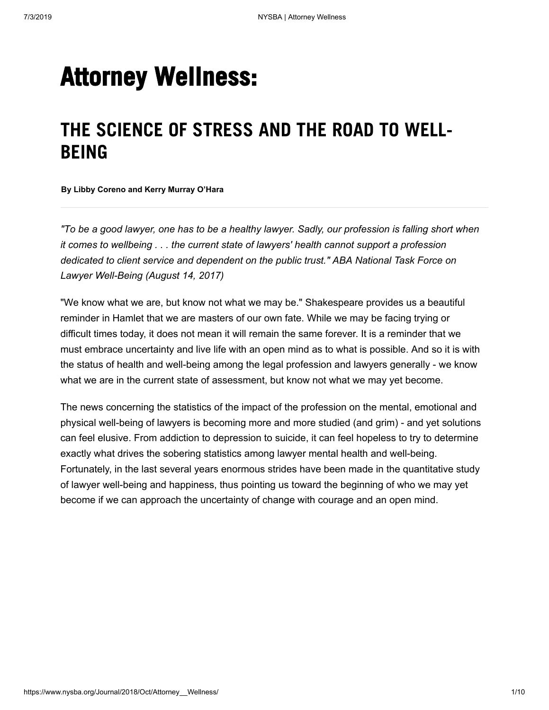# **Attorney Wellness:**

# **THE SCIENCE OF STRESS AND THE ROAD TO WELL-BEING**

**By Libby Coreno and Kerry Murray O'Hara**

"To be a good lawyer, one has to be a healthy lawyer. Sadly, our profession is falling short when *it comes to wellbeing . . . the current state of lawyers' health cannot support a profession dedicated to client service and dependent on the public trust." ABA National Task Force on Lawyer Well-Being (August 14, 2017)*

"We know what we are, but know not what we may be." Shakespeare provides us a beautiful reminder in Hamlet that we are masters of our own fate. While we may be facing trying or difficult times today, it does not mean it will remain the same forever. It is a reminder that we must embrace uncertainty and live life with an open mind as to what is possible. And so it is with the status of health and well-being among the legal profession and lawyers generally - we know what we are in the current state of assessment, but know not what we may yet become.

The news concerning the statistics of the impact of the profession on the mental, emotional and physical well-being of lawyers is becoming more and more studied (and grim) - and yet solutions can feel elusive. From addiction to depression to suicide, it can feel hopeless to try to determine exactly what drives the sobering statistics among lawyer mental health and well-being. Fortunately, in the last several years enormous strides have been made in the quantitative study of lawyer well-being and happiness, thus pointing us toward the beginning of who we may yet become if we can approach the uncertainty of change with courage and an open mind.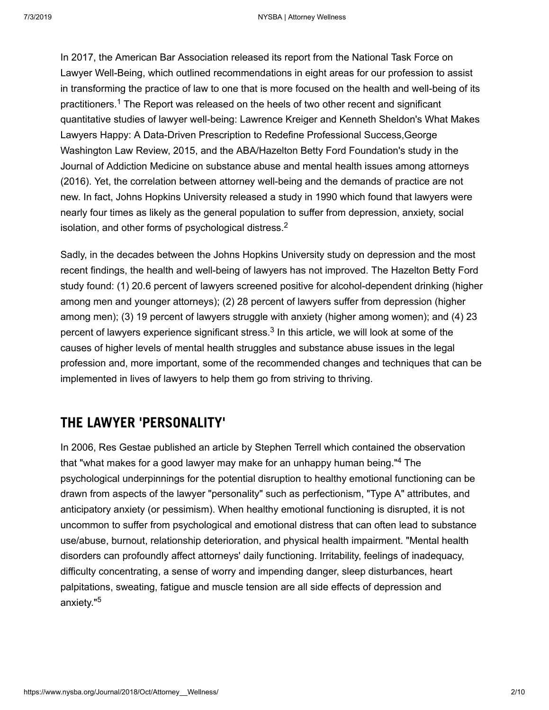<span id="page-1-0"></span>In 2017, the American Bar Association released its report from the National Task Force on Lawyer Well-Being, which outlined recommendations in eight areas for our profession to assist in transforming the practice of law to one that is more focused on the health and well-being of its practitioners.<sup>[1](#page-8-0)</sup> The Report was released on the heels of two other recent and significant quantitative studies of lawyer well-being: Lawrence Kreiger and Kenneth Sheldon's What Makes Lawyers Happy: A Data-Driven Prescription to Redefine Professional Success,George Washington Law Review, 2015, and the ABA/Hazelton Betty Ford Foundation's study in the Journal of Addiction Medicine on substance abuse and mental health issues among attorneys (2016). Yet, the correlation between attorney well-being and the demands of practice are not new. In fact, Johns Hopkins University released a study in 1990 which found that lawyers were nearly four times as likely as the general population to suffer from depression, anxiety, social isolation, and other forms of psychological distress. $^2$  $^2$ 

<span id="page-1-2"></span><span id="page-1-1"></span>Sadly, in the decades between the Johns Hopkins University study on depression and the most recent findings, the health and well-being of lawyers has not improved. The Hazelton Betty Ford study found: (1) 20.6 percent of lawyers screened positive for alcohol-dependent drinking (higher among men and younger attorneys); (2) 28 percent of lawyers suffer from depression (higher among men); (3) 19 percent of lawyers struggle with anxiety (higher among women); and (4) 23 percent of lawyers experience significant stress. $^3$  $^3$  In this article, we will look at some of the causes of higher levels of mental health struggles and substance abuse issues in the legal profession and, more important, some of the recommended changes and techniques that can be implemented in lives of lawyers to help them go from striving to thriving.

### **THE LAWYER 'PERSONALITY'**

<span id="page-1-4"></span><span id="page-1-3"></span>In 2006, Res Gestae published an article by Stephen Terrell which contained the observation that "what makes for a good lawyer may make for an unhappy human being."<sup>[4](#page-8-3)</sup> The psychological underpinnings for the potential disruption to healthy emotional functioning can be drawn from aspects of the lawyer "personality" such as perfectionism, "Type A" attributes, and anticipatory anxiety (or pessimism). When healthy emotional functioning is disrupted, it is not uncommon to suffer from psychological and emotional distress that can often lead to substance use/abuse, burnout, relationship deterioration, and physical health impairment. "Mental health disorders can profoundly affect attorneys' daily functioning. Irritability, feelings of inadequacy, difficulty concentrating, a sense of worry and impending danger, sleep disturbances, heart palpitations, sweating, fatigue and muscle tension are all side effects of depression and anxiety."<sup>[5](#page-8-4)</sup>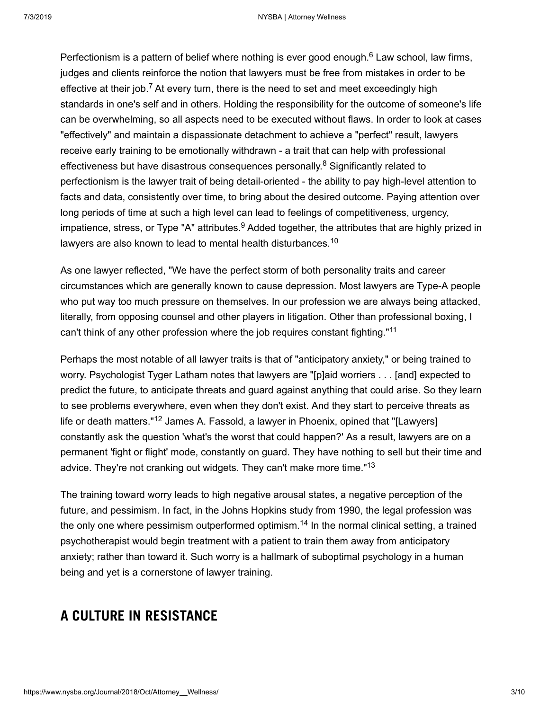<span id="page-2-1"></span><span id="page-2-0"></span>Perfectionism is a pattern of belief where nothing is ever good enough.<sup>[6](#page-8-5)</sup> Law school, law firms, judges and clients reinforce the notion that lawyers must be free from mistakes in order to be effective at their job.<sup>[7](#page-8-6)</sup> At every turn, there is the need to set and meet exceedingly high standards in one's self and in others. Holding the responsibility for the outcome of someone's life can be overwhelming, so all aspects need to be executed without flaws. In order to look at cases "effectively" and maintain a dispassionate detachment to achieve a "perfect" result, lawyers receive early training to be emotionally withdrawn - a trait that can help with professional effectiveness but have disastrous consequences personally.<sup>[8](#page-8-7)</sup> Significantly related to perfectionism is the lawyer trait of being detail-oriented - the ability to pay high-level attention to facts and data, consistently over time, to bring about the desired outcome. Paying attention over long periods of time at such a high level can lead to feelings of competitiveness, urgency, impatience, stress, or Type "A" attributes. $^9$  $^9$  Added together, the attributes that are highly prized in lawyers are also known to lead to mental health disturbances. $^{\rm 10}$  $^{\rm 10}$  $^{\rm 10}$ 

<span id="page-2-4"></span><span id="page-2-3"></span><span id="page-2-2"></span>As one lawyer reflected, "We have the perfect storm of both personality traits and career circumstances which are generally known to cause depression. Most lawyers are Type-A people who put way too much pressure on themselves. In our profession we are always being attacked, literally, from opposing counsel and other players in litigation. Other than professional boxing, I can't think of any other profession where the job requires constant fighting."<sup>[11](#page-8-10)</sup>

<span id="page-2-6"></span><span id="page-2-5"></span>Perhaps the most notable of all lawyer traits is that of "anticipatory anxiety," or being trained to worry. Psychologist Tyger Latham notes that lawyers are "[p]aid worriers . . . [and] expected to predict the future, to anticipate threats and guard against anything that could arise. So they learn to see problems everywhere, even when they don't exist. And they start to perceive threats as life or death matters."<sup>[12](#page-8-11)</sup> James A. Fassold, a lawyer in Phoenix, opined that "[Lawyers] constantly ask the question 'what's the worst that could happen?' As a result, lawyers are on a permanent 'fight or flight' mode, constantly on guard. They have nothing to sell but their time and advice. They're not cranking out widgets. They can't make more time."<sup>[13](#page-8-12)</sup>

<span id="page-2-8"></span><span id="page-2-7"></span>The training toward worry leads to high negative arousal states, a negative perception of the future, and pessimism. In fact, in the Johns Hopkins study from 1990, the legal profession was the only one where pessimism outperformed optimism. $^\mathrm{14}$  $^\mathrm{14}$  $^\mathrm{14}$  In the normal clinical setting, a trained psychotherapist would begin treatment with a patient to train them away from anticipatory anxiety; rather than toward it. Such worry is a hallmark of suboptimal psychology in a human being and yet is a cornerstone of lawyer training.

# **A CULTURE IN RESISTANCE**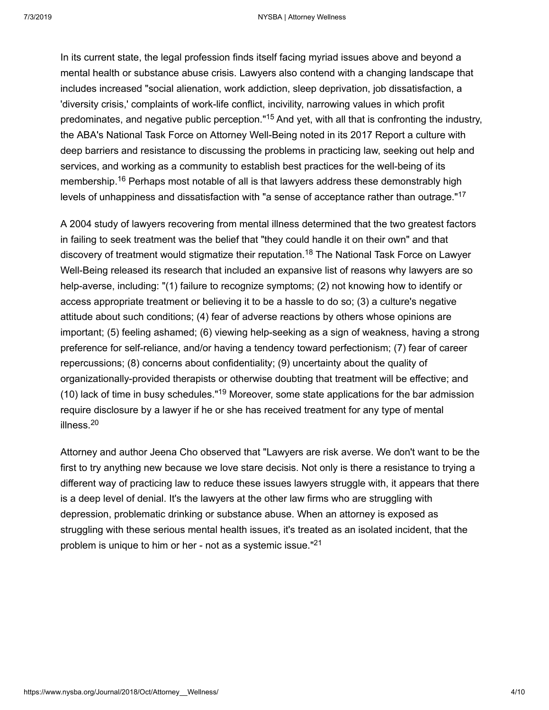<span id="page-3-0"></span>In its current state, the legal profession finds itself facing myriad issues above and beyond a mental health or substance abuse crisis. Lawyers also contend with a changing landscape that includes increased "social alienation, work addiction, sleep deprivation, job dissatisfaction, a 'diversity crisis,' complaints of work-life conflict, incivility, narrowing values in which profit predominates, and negative public perception."<sup>[15](#page-8-14)</sup> And yet, with all that is confronting the industry, the ABA's National Task Force on Attorney Well-Being noted in its 2017 Report a culture with deep barriers and resistance to discussing the problems in practicing law, seeking out help and services, and working as a community to establish best practices for the well-being of its membership.<sup>[16](#page-8-15)</sup> Perhaps most notable of all is that lawyers address these demonstrably high levels of unhappiness and dissatisfaction with "a sense of acceptance rather than outrage."<sup>[17](#page-8-16)</sup>

<span id="page-3-3"></span><span id="page-3-2"></span><span id="page-3-1"></span>A 2004 study of lawyers recovering from mental illness determined that the two greatest factors in failing to seek treatment was the belief that "they could handle it on their own" and that discovery of treatment would stigmatize their reputation.<sup>[18](#page-8-17)</sup> The National Task Force on Lawyer Well-Being released its research that included an expansive list of reasons why lawyers are so help-averse, including: "(1) failure to recognize symptoms; (2) not knowing how to identify or access appropriate treatment or believing it to be a hassle to do so; (3) a culture's negative attitude about such conditions; (4) fear of adverse reactions by others whose opinions are important; (5) feeling ashamed; (6) viewing help-seeking as a sign of weakness, having a strong preference for self-reliance, and/or having a tendency toward perfectionism; (7) fear of career repercussions; (8) concerns about confidentiality; (9) uncertainty about the quality of organizationally-provided therapists or otherwise doubting that treatment will be effective; and (10) lack of time in busy schedules."<sup>[19](#page-8-18)</sup> Moreover, some state applications for the bar admission require disclosure by a lawyer if he or she has received treatment for any type of mental illness. [20](#page-8-19)

<span id="page-3-6"></span><span id="page-3-5"></span><span id="page-3-4"></span>Attorney and author Jeena Cho observed that "Lawyers are risk averse. We don't want to be the first to try anything new because we love stare decisis. Not only is there a resistance to trying a different way of practicing law to reduce these issues lawyers struggle with, it appears that there is a deep level of denial. It's the lawyers at the other law firms who are struggling with depression, problematic drinking or substance abuse. When an attorney is exposed as struggling with these serious mental health issues, it's treated as an isolated incident, that the problem is unique to him or her - not as a systemic issue."<sup>[21](#page-8-20)</sup>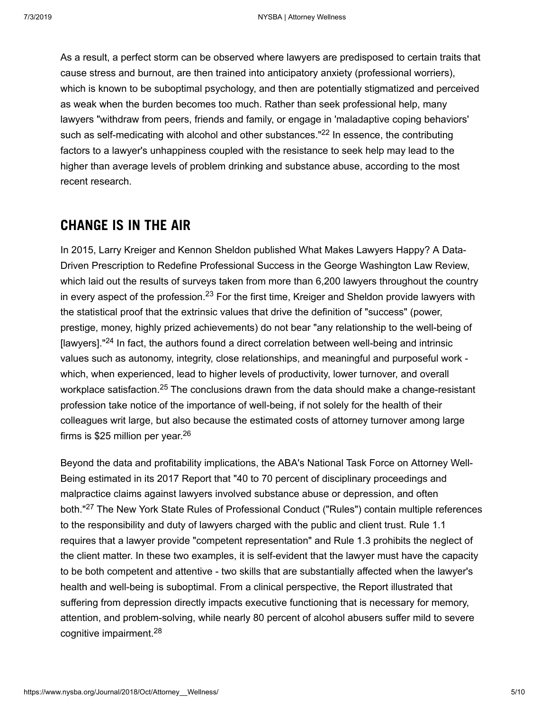<span id="page-4-0"></span>As a result, a perfect storm can be observed where lawyers are predisposed to certain traits that cause stress and burnout, are then trained into anticipatory anxiety (professional worriers), which is known to be suboptimal psychology, and then are potentially stigmatized and perceived as weak when the burden becomes too much. Rather than seek professional help, many lawyers "withdraw from peers, friends and family, or engage in 'maladaptive coping behaviors' such as self-medicating with alcohol and other substances." $^{22}$  $^{22}$  $^{22}$  In essence, the contributing factors to a lawyer's unhappiness coupled with the resistance to seek help may lead to the higher than average levels of problem drinking and substance abuse, according to the most recent research.

#### **CHANGE IS IN THE AIR**

<span id="page-4-2"></span><span id="page-4-1"></span>In 2015, Larry Kreiger and Kennon Sheldon published What Makes Lawyers Happy? A Data-Driven Prescription to Redefine Professional Success in the George Washington Law Review, which laid out the results of surveys taken from more than 6,200 lawyers throughout the country in every aspect of the profession. $^{23}$  $^{23}$  $^{23}$  For the first time, Kreiger and Sheldon provide lawyers with the statistical proof that the extrinsic values that drive the definition of "success" (power, prestige, money, highly prized achievements) do not bear "any relationship to the well-being of [lawyers]."<sup>[24](#page-8-23)</sup> In fact, the authors found a direct correlation between well-being and intrinsic values such as autonomy, integrity, close relationships, and meaningful and purposeful work which, when experienced, lead to higher levels of productivity, lower turnover, and overall workplace satisfaction. $^{25}$  $^{25}$  $^{25}$  The conclusions drawn from the data should make a change-resistant profession take notice of the importance of well-being, if not solely for the health of their colleagues writ large, but also because the estimated costs of attorney turnover among large firms is \$25 million per year. [26](#page-8-25)

<span id="page-4-5"></span><span id="page-4-4"></span><span id="page-4-3"></span>Beyond the data and profitability implications, the ABA's National Task Force on Attorney Well-Being estimated in its 2017 Report that "40 to 70 percent of disciplinary proceedings and malpractice claims against lawyers involved substance abuse or depression, and often both."<sup>[27](#page-8-26)</sup> The New York State Rules of Professional Conduct ("Rules") contain multiple references to the responsibility and duty of lawyers charged with the public and client trust. Rule 1.1 requires that a lawyer provide "competent representation" and Rule 1.3 prohibits the neglect of the client matter. In these two examples, it is self-evident that the lawyer must have the capacity to be both competent and attentive - two skills that are substantially affected when the lawyer's health and well-being is suboptimal. From a clinical perspective, the Report illustrated that suffering from depression directly impacts executive functioning that is necessary for memory, attention, and problem-solving, while nearly 80 percent of alcohol abusers suffer mild to severe cognitive impairment. [28](#page-8-27)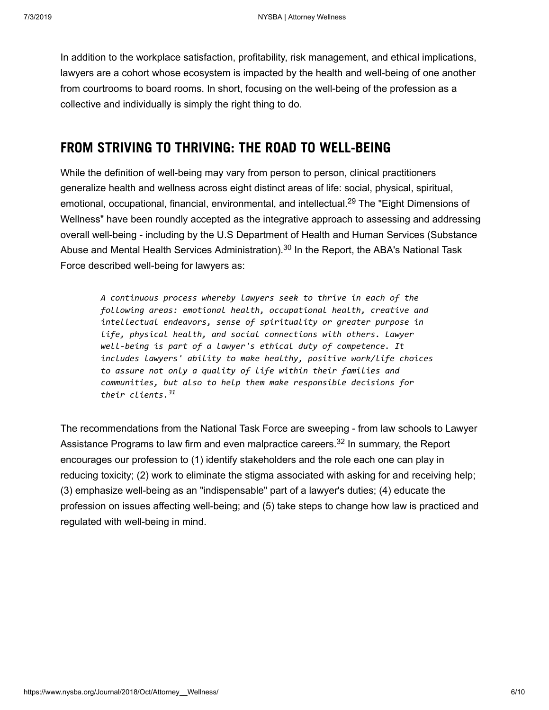In addition to the workplace satisfaction, profitability, risk management, and ethical implications, lawyers are a cohort whose ecosystem is impacted by the health and well-being of one another from courtrooms to board rooms. In short, focusing on the well-being of the profession as a collective and individually is simply the right thing to do.

## **FROM STRIVING TO THRIVING: THE ROAD TO WELL-BEING**

While the definition of well-being may vary from person to person, clinical practitioners generalize health and wellness across eight distinct areas of life: social, physical, spiritual, emotional, occupational, financial, environmental, and intellectual.<sup>[29](#page-8-28)</sup> The "Eight Dimensions of Wellness" have been roundly accepted as the integrative approach to assessing and addressing overall well-being - including by the U.S Department of Health and Human Services (Substance Abuse and Mental Health Services Administration). $^{\rm 30}$  $^{\rm 30}$  $^{\rm 30}$  In the Report, the ABA's National Task Force described well-being for lawyers as:

<span id="page-5-1"></span><span id="page-5-0"></span>*A continuous process whereby lawyers seek to thrive in each of the following areas: emotional health, occupational health, creative and intellectual endeavors, sense of spirituality or greater purpose in life, physical health, and social connections with others. Lawyer well-being is part of a lawyer's ethical duty of competence. It includes lawyers' ability to make healthy, positive work/life choices to assure not only a quality of life within their families and communities, but also to help them make responsible decisions for their clients. [31](#page-8-30)*

<span id="page-5-3"></span><span id="page-5-2"></span>The recommendations from the National Task Force are sweeping - from law schools to Lawyer Assistance Programs to law firm and even malpractice careers. $^\mathrm{32}$  $^\mathrm{32}$  $^\mathrm{32}$  In summary, the Report encourages our profession to (1) identify stakeholders and the role each one can play in reducing toxicity; (2) work to eliminate the stigma associated with asking for and receiving help; (3) emphasize well-being as an "indispensable" part of a lawyer's duties; (4) educate the profession on issues affecting well-being; and (5) take steps to change how law is practiced and regulated with well-being in mind.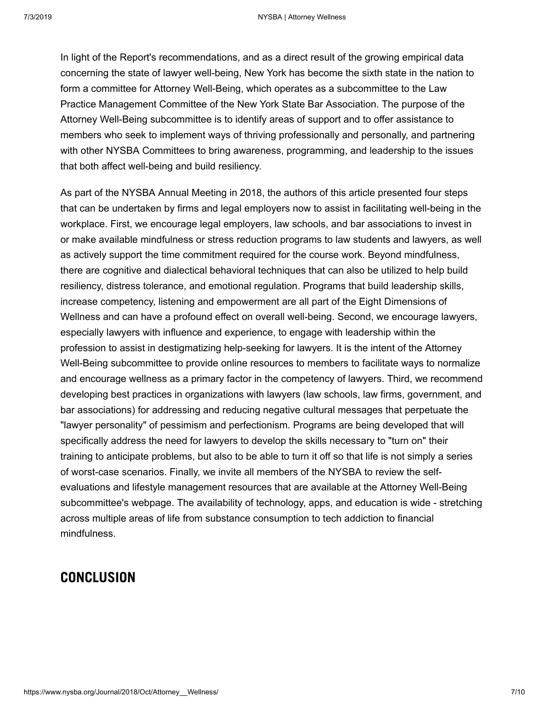In light of the Report's recommendations, and as a direct result of the growing empirical data concerning the state of lawyer well-being, New York has become the sixth state in the nation to form a committee for Attorney Well-Being, which operates as a subcommittee to the Law Practice Management Committee of the New York State Bar Association. The purpose of the Attorney Well-Being subcommittee is to identify areas of support and to offer assistance to members who seek to implement ways of thriving professionally and personally, and partnering with other NYSBA Committees to bring awareness, programming, and leadership to the issues that both affect well-being and build resiliency.

As part of the NYSBA Annual Meeting in 2018, the authors of this article presented four steps that can be undertaken by firms and legal employers now to assist in facilitating well-being in the workplace. First, we encourage legal employers, law schools, and bar associations to invest in or make available mindfulness or stress reduction programs to law students and lawyers, as well as actively support the time commitment required for the course work. Beyond mindfulness, there are cognitive and dialectical behavioral techniques that can also be utilized to help build resiliency, distress tolerance, and emotional regulation. Programs that build leadership skills, increase competency, listening and empowerment are all part of the Eight Dimensions of Wellness and can have a profound effect on overall well-being. Second, we encourage lawyers, especially lawyers with influence and experience, to engage with leadership within the profession to assist in destigmatizing help-seeking for lawyers. It is the intent of the Attorney Well-Being subcommittee to provide online resources to members to facilitate ways to normalize and encourage wellness as a primary factor in the competency of lawyers. Third, we recommend developing best practices in organizations with lawyers (law schools, law firms, government, and bar associations) for addressing and reducing negative cultural messages that perpetuate the "lawyer personality" of pessimism and perfectionism. Programs are being developed that will specifically address the need for lawyers to develop the skills necessary to "turn on" their training to anticipate problems, but also to be able to turn it off so that life is not simply a series of worst-case scenarios. Finally, we invite all members of the NYSBA to review the selfevaluations and lifestyle management resources that are available at the Attorney Well-Being subcommittee's webpage. The availability of technology, apps, and education is wide - stretching across multiple areas of life from substance consumption to tech addiction to financial mindfulness.

#### **CONCLUSION**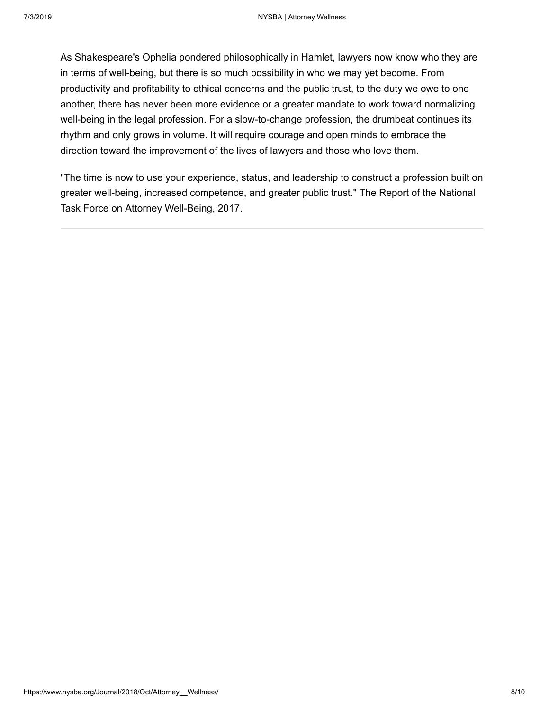As Shakespeare's Ophelia pondered philosophically in Hamlet, lawyers now know who they are in terms of well-being, but there is so much possibility in who we may yet become. From productivity and profitability to ethical concerns and the public trust, to the duty we owe to one another, there has never been more evidence or a greater mandate to work toward normalizing well-being in the legal profession. For a slow-to-change profession, the drumbeat continues its rhythm and only grows in volume. It will require courage and open minds to embrace the direction toward the improvement of the lives of lawyers and those who love them.

"The time is now to use your experience, status, and leadership to construct a profession built on greater well-being, increased competence, and greater public trust." The Report of the National Task Force on Attorney Well-Being, 2017.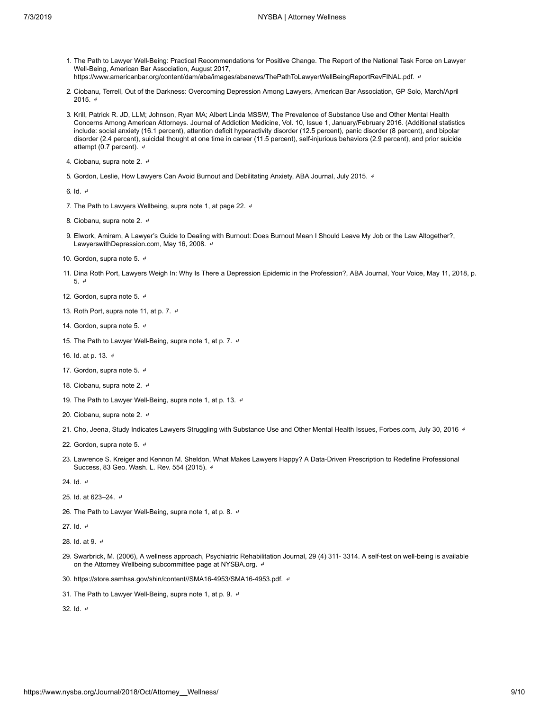- <span id="page-8-0"></span>1. The Path to Lawyer Well-Being: Practical Recommendations for Positive Change. The Report of the National Task Force on Lawyer Well-Being, American Bar Association, August 2017, https://www.americanbar.org/content/dam/aba/images/abanews/ThePathToLawyerWellBeingReportRevFINAL.pdf. 4
- 
- <span id="page-8-1"></span>2. Ciobanu, Terrell, Out of the Darkness: Overcoming Depression Among Lawyers, American Bar Association, GP Solo, March/April 2015. [↵](#page-1-1)
- <span id="page-8-2"></span>3. Krill, Patrick R. JD, LLM; Johnson, Ryan MA; Albert Linda MSSW, The Prevalence of Substance Use and Other Mental Health Concerns Among American Attorneys. Journal of Addiction Medicine, Vol. 10, Issue 1, January/February 2016. (Additional statistics include: social anxiety (16.1 percent), attention deficit hyperactivity disorder (12.5 percent), panic disorder (8 percent), and bipolar disorder (2.4 percent), suicidal thought at one time in career (11.5 percent), self-injurious behaviors (2.9 percent), and prior suicide attempt (0.7 percent).  $\leftrightarrow$
- <span id="page-8-3"></span>4. Ciobanu, supra note 2. 4
- <span id="page-8-4"></span>5. Gordon, Leslie, How Lawyers Can Avoid Burnout and Debilitating Anxiety, ABA Journal, July 2015. ↓

<span id="page-8-5"></span>6. Id. [↵](#page-2-0)

- <span id="page-8-6"></span>7. The Path to Lawyers Wellbeing, supra note 1, at page 22. ♦
- <span id="page-8-7"></span>8. Ciobanu, supra note 2. [↵](#page-2-2)
- <span id="page-8-8"></span>9. Elwork, Amiram, A Lawyer's Guide to Dealing with Burnout: Does Burnout Mean I Should Leave My Job or the Law Altogether?, LawyerswithDepression.com, May 16, 2008. 4
- <span id="page-8-9"></span>10. Gordon, supra note 5. 4
- <span id="page-8-10"></span>11. Dina Roth Port, Lawyers Weigh In: Why Is There a Depression Epidemic in the Profession?, ABA Journal, Your Voice, May 11, 2018, p. 5. [↵](#page-2-5)
- <span id="page-8-11"></span>12. Gordon, supra note 5. [↵](#page-2-6)
- <span id="page-8-12"></span>13. Roth Port, supra note 11, at p. 7.  $\neq$
- <span id="page-8-13"></span>14. Gordon, supra note 5. 4
- <span id="page-8-14"></span>15. The Path to Lawyer Well-Being, supra note 1, at p. 7. ♦
- <span id="page-8-15"></span>16. Id. at p. 13. [↵](#page-3-1)
- <span id="page-8-16"></span>17. Gordon, supra note 5. ♦
- <span id="page-8-17"></span>18. Ciobanu, supra note 2. 4
- <span id="page-8-18"></span>19. The Path to Lawyer Well-Being, supra note 1, at p. 13. ♦
- <span id="page-8-19"></span>20. Ciobanu, supra note 2. 4
- <span id="page-8-20"></span>21. Cho, Jeena, Study Indicates Lawyers Struggling with Substance Use and Other Mental Health Issues, Forbes.com, July 30, 2016 ↔
- <span id="page-8-21"></span>22. Gordon, supra note 5. 4
- <span id="page-8-22"></span>23. Lawrence S. Kreiger and Kennon M. Sheldon, What Makes Lawyers Happy? A Data-Driven Prescription to Redefine Professional Success, 83 Geo. Wash. L. Rev. 554 (2015). 4
- <span id="page-8-23"></span>24. Id. [↵](#page-4-2)
- <span id="page-8-24"></span>25. Id. at 623–24. [↵](#page-4-3)
- <span id="page-8-25"></span>26. The Path to Lawyer Well-Being, supra note 1, at p. 8. 4
- <span id="page-8-26"></span>27. Id. [↵](#page-4-5)
- <span id="page-8-27"></span>28. Id. at 9. ↵
- <span id="page-8-28"></span>29. Swarbrick, M. (2006), A wellness approach, Psychiatric Rehabilitation Journal, 29 (4) 311- 3314. A self-test on well-being is available on the Attorney Wellbeing subcommittee page at NYSBA.org. [↵](#page-5-0)
- <span id="page-8-29"></span>30. https://store.samhsa.gov/shin/content//SMA16-4953/SMA16-4953.pdf. [↵](#page-5-1)
- <span id="page-8-30"></span>31. The Path to Lawyer Well-Being, supra note 1, at p. 9. ♦

<span id="page-8-31"></span>32. Id. [↵](#page-5-3)